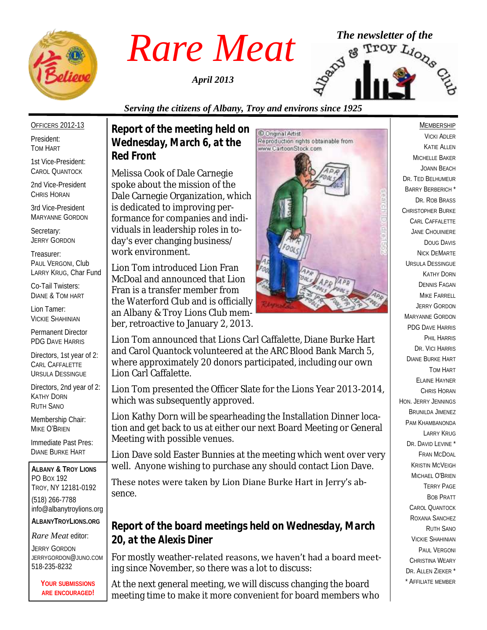

*April 2013*



#### *Serving the citizens of Albany, Troy and environs since 1925*

OFFICERS 2012-13 President:

TOM HART

1st Vice-President: CAROL QUANTOCK

2nd Vice-President CHRIS HORAN

3rd Vice-President MARYANNE GORDON

Secretary: JERRY GORDON

Treasurer: PAUL VERGONI, Club LARRY KRUG, Char Fund

Co-Tail Twisters: DIANE & TOM HART

Lion Tamer: VICKIE SHAHINIAN

Permanent Director PDG DAVE HARRIS

Directors, 1st year of 2: CARL CAFFALETTE URSULA DESSINGUE

Directors, 2nd year of 2: KATHY DORN RUTH SANO

Membership Chair: MIKE O'BRIEN

Immediate Past Pres: DIANE BURKE HART

**ALBANY & TROY LIONS** PO BOX 192 TROY, NY 12181-0192 (518) 266-7788 info@albanytroylions.org **ALBANYTROYLIONS.ORG**

*Rare Meat* editor:

JERRY GORDON JERRYGORDON@JUNO.COM 518-235-8232

> **YOUR SUBMISSIONS ARE ENCOURAGED!**

*Report of the meeting held on Wednesday, March 6, at the Red Front* 

Melissa Cook of Dale Carnegie spoke about the mission of the Dale Carnegie Organization, which is dedicated to improving performance for companies and individuals in leadership roles in today's ever changing business/ work environment.

Lion Tom introduced Lion Fran McDoal and announced that Lion Fran is a transfer member from the Waterford Club and is officially an Albany & Troy Lions Club member, retroactive to January 2, 2013.



Lion Tom announced that Lions Carl Caffalette, Diane Burke Hart and Carol Quantock volunteered at the ARC Blood Bank March 5, where approximately 20 donors participated, including our own Lion Carl Caffalette.

Lion Tom presented the Officer Slate for the Lions Year 2013-2014, which was subsequently approved.

Lion Kathy Dorn will be spearheading the Installation Dinner location and get back to us at either our next Board Meeting or General Meeting with possible venues.

Lion Dave sold Easter Bunnies at the meeting which went over very well. Anyone wishing to purchase any should contact Lion Dave.

These notes were taken by Lion Diane Burke Hart in Jerry's absence.

*Report of the board meetings held on Wednesday, March 20, at the Alexis Diner* 

For mostly weather-related reasons, we haven't had a board meeting since November, so there was a lot to discuss:

At the next general meeting, we will discuss changing the board meeting time to make it more convenient for board members who

#### MEMBERSHIP

VICKI ADLER KATIE ALLEN MICHELLE BAKER JOANN BEACH DR. TED BELHUMEUR BARRY BERBERICH \* DR. ROB BRASS CHRISTOPHER BURKE CARL CAFFALETTE JANE CHOUINIERE DOUG DAVIS NICK DEMARTE URSULA DESSINGUE KATHY DORN DENNIS FAGAN MIKE FARRELL JERRY GORDON MARYANNE GORDON PDG DAVE HARRIS PHIL HARRIS DR. VICI HARRIS DIANE BURKE HART TOM HART ELAINE HAYNER CHRIS HORAN HON. JERRY JENNINGS BRUNILDA JIMENEZ PAM KHAMBANONDA LARRY KRUG DR. DAVID LEVINE<sup>\*</sup> FRAN MCDOAL KRISTIN MCVEIGH MICHAEL O'BRIEN TERRY PAGE BOB PRATT CAROL QUANTOCK ROXANA SANCHEZ RUTH SANO VICKIE SHAHINIAN PAUL VERGONI CHRISTINA WEARY DR. ALLEN 7IFKER<sup>\*</sup> \* AFFILIATE MEMBER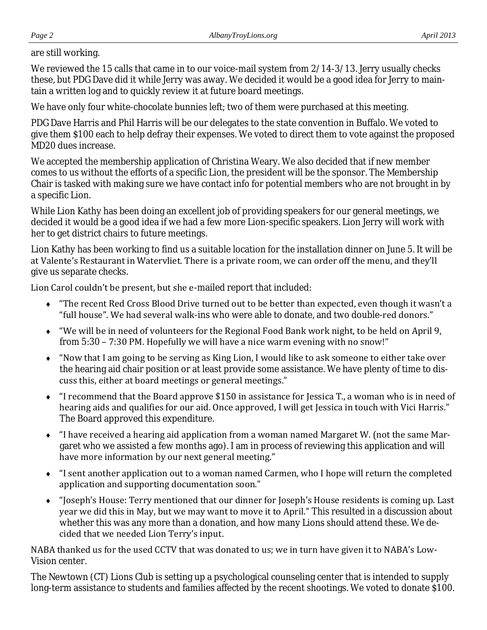#### are still working.

We reviewed the 15 calls that came in to our voice-mail system from 2/14-3/13. Jerry usually checks these, but PDG Dave did it while Jerry was away. We decided it would be a good idea for Jerry to maintain a written log and to quickly review it at future board meetings.

We have only four white-chocolate bunnies left; two of them were purchased at this meeting.

PDG Dave Harris and Phil Harris will be our delegates to the state convention in Buffalo. We voted to give them \$100 each to help defray their expenses. We voted to direct them to vote against the proposed MD20 dues increase.

We accepted the membership application of Christina Weary. We also decided that if new member comes to us without the efforts of a specific Lion, the president will be the sponsor. The Membership Chair is tasked with making sure we have contact info for potential members who are not brought in by a specific Lion.

While Lion Kathy has been doing an excellent job of providing speakers for our general meetings, we decided it would be a good idea if we had a few more Lion-specific speakers. Lion Jerry will work with her to get district chairs to future meetings.

Lion Kathy has been working to find us a suitable location for the installation dinner on June 5. It will be at Valente's Restaurant in Watervliet. There is a private room, we can order off the menu, and they'll give us separate checks.

Lion Carol couldn't be present, but she e-mailed report that included:

- "The recent Red Cross Blood Drive turned out to be better than expected, even though it wasn't a "full house". We had several walk-ins who were able to donate, and two double-red donors."
- "We will be in need of volunteers for the Regional Food Bank work night, to be held on April 9, from 5:30 – 7:30 PM. Hopefully we will have a nice warm evening with no snow!"
- "Now that I am going to be serving as King Lion, I would like to ask someone to either take over the hearing aid chair position or at least provide some assistance. We have plenty of time to discuss this, either at board meetings or general meetings."
- "I recommend that the Board approve \$150 in assistance for Jessica T., a woman who is in need of hearing aids and qualifies for our aid. Once approved, I will get Jessica in touch with Vici Harris." The Board approved this expenditure.
- "I have received a hearing aid application from a woman named Margaret W. (not the same Margaret who we assisted a few months ago). I am in process of reviewing this application and will have more information by our next general meeting."
- "I sent another application out to a woman named Carmen, who I hope will return the completed application and supporting documentation soon."
- "Joseph's House: Terry mentioned that our dinner for Joseph's House residents is coming up. Last year we did this in May, but we may want to move it to April." This resulted in a discussion about whether this was any more than a donation, and how many Lions should attend these. We decided that we needed Lion Terry's input.

NABA thanked us for the used CCTV that was donated to us; we in turn have given it to NABA's Low-Vision center.

The Newtown (CT) Lions Club is setting up a psychological counseling center that is intended to supply long-term assistance to students and families affected by the recent shootings. We voted to donate \$100.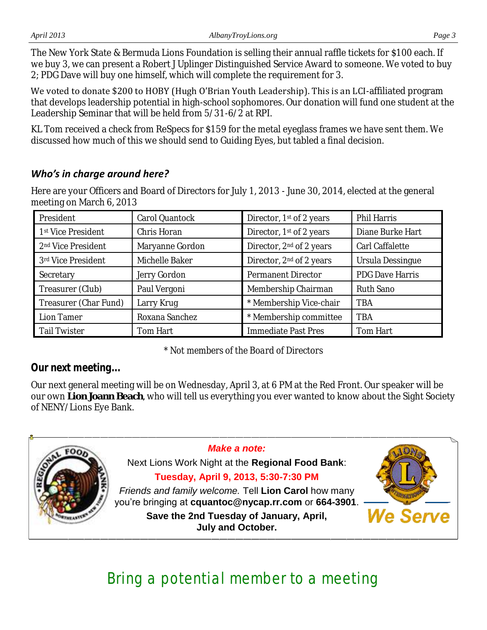The New York State & Bermuda Lions Foundation is selling their annual raffle tickets for \$100 each. If we buy 3, we can present a Robert J Uplinger Distinguished Service Award to someone. We voted to buy 2; PDG Dave will buy one himself, which will complete the requirement for 3.

We voted to donate \$200 to HOBY (Hugh O'Brian Youth Leadership). This is an LCI-affiliated program that develops leadership potential in high-school sophomores. Our donation will fund one student at the Leadership Seminar that will be held from 5/31-6/2 at RPI.

KL Tom received a check from ReSpecs for \$159 for the metal eyeglass frames we have sent them. We discussed how much of this we should send to Guiding Eyes, but tabled a final decision.

### *Who's in charge around here?*

Here are your Officers and Board of Directors for July 1, 2013 - June 30, 2014, elected at the general meeting on March 6, 2013

| President                      | Carol Quantock  | Director, 1st of 2 years             | Phil Harris      |
|--------------------------------|-----------------|--------------------------------------|------------------|
| 1st Vice President             | Chris Horan     | Director, 1st of 2 years             | Diane Burke Hart |
| 2 <sup>nd</sup> Vice President | Maryanne Gordon | Director, 2 <sup>nd</sup> of 2 years | Carl Caffalette  |
| 3rd Vice President             | Michelle Baker  | Director, 2 <sup>nd</sup> of 2 years | Ursula Dessingue |
| Secretary                      | Jerry Gordon    | Permanent Director                   | PDG Dave Harris  |
| Treasurer (Club)               | Paul Vergoni    | Membership Chairman                  | Ruth Sano        |
| Treasurer (Char Fund)          | Larry Krug      | * Membership Vice-chair              | <b>TBA</b>       |
| Lion Tamer                     | Roxana Sanchez  | * Membership committee               | <b>TBA</b>       |
| Tail Twister                   | Tom Hart        | Immediate Past Pres                  | Tom Hart         |

*\* Not members of the Board of Directors*

*Our next meeting...*

Our next general meeting will be on Wednesday, April 3, at 6 PM at the Red Front. Our speaker will be our own **Lion Joann Beach**, who will tell us everything you ever wanted to know about the Sight Society of NENY/Lions Eye Bank.



# Bring a potential member to a meeting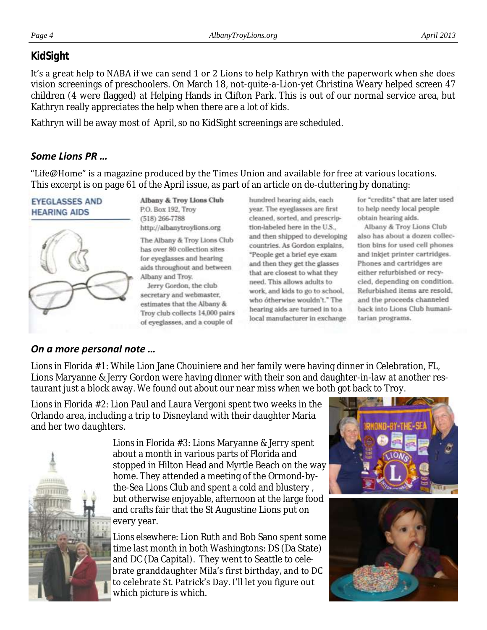## *KidSight*

It's a great help to NABA if we can send 1 or 2 Lions to help Kathryn with the paperwork when she does vision screenings of preschoolers. On March 18, not-quite-a-Lion-yet Christina Weary helped screen 47 children (4 were flagged) at Helping Hands in Clifton Park. This is out of our normal service area, but Kathryn really appreciates the help when there are a lot of kids.

Kathryn will be away most of April, so no KidSight screenings are scheduled.

### *Some Lions PR …*

"Life@Home" is a magazine produced by the Times Union and available for free at various locations. This excerpt is on page 61 of the April issue, as part of an article on de-cluttering by donating:

#### **EYEGLASSES AND HEARING AIDS**



Albany & Troy Lions Club P.O. Box 192, Troy  $(518)$  266-7788 http://albanytroylions.org

The Albany & Troy Lions Club has over 80 collection sites for eyeglasses and hearing aids throughout and between Albany and Troy.

Jerry Gordon, the club secretary and webmaster, estimates that the Albany & Troy club collects 14,000 pairs of eyeglasses, and a couple of

hundred hearing aids, each year. The eyeglasses are first cleaned, sorted, and prescription-labeled here in the U.S., and then shipped to developing countries. As Gordon explains, "People get a brief eye exam and then they get the glasses that are closest to what they need. This allows adults to work, and kids to go to school, who otherwise wouldn't." The hearing aids are turned in to a local manufacturer in exchange

for "credits" that are later used to help needy local people obtain hearing aids.

Albany & Troy Lions Club also has about a dozen collection bins for used cell phones and inkjet printer cartridges. Phones and cartridges are either refurbished or recycled, depending on condition. Refurbished items are resold. and the proceeds channeled back into Lions Club humanitarian programs.

## *On a more personal note …*

*Lions in Florida #1:* While Lion Jane Chouiniere and her family were having dinner in Celebration, FL, Lions Maryanne & Jerry Gordon were having dinner with their son and daughter-in-law at another restaurant just a block away. We found out about our near miss when we both got back to Troy.

*Lions in Florida #2:* Lion Paul and Laura Vergoni spent two weeks in the Orlando area, including a trip to Disneyland with their daughter Maria and her two daughters.



*Lions in Florida #3:* Lions Maryanne & Jerry spent about a month in various parts of Florida and stopped in Hilton Head and Myrtle Beach on the way home. They attended a meeting of the Ormond-bythe-Sea Lions Club and spent a cold and blustery , but otherwise enjoyable, afternoon at the large food and crafts fair that the St Augustine Lions put on every year.

*Lions elsewhere:* Lion Ruth and Bob Sano spent some time last month in both Washingtons: DS (Da State) and DC (Da Capital). They went to Seattle to celebrate granddaughter Mila's first birthday, and to DC to celebrate St. Patrick's Day. I'll let you figure out which picture is which.

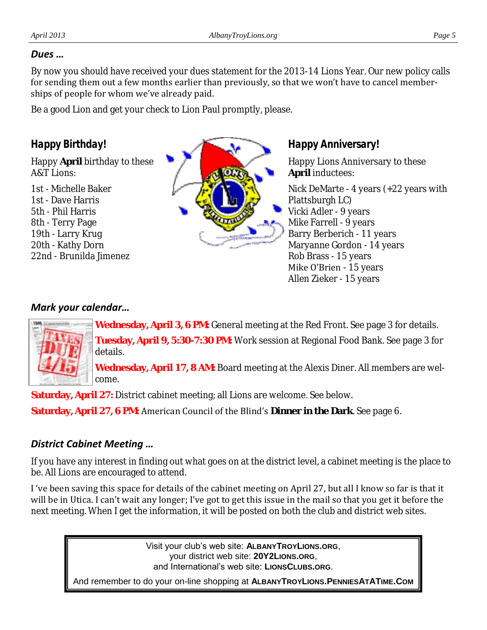#### *Dues …*

By now you should have received your dues statement for the 2013-14 Lions Year. Our new policy calls for sending them out a few months earlier than previously, so that we won't have to cancel memberships of people for whom we've already paid.

Be a good Lion and get your check to Lion Paul promptly, please.

## *Happy Birthday!*

Happy **April** birthday to these A&T Lions:

1st - Michelle Baker 1st - Dave Harris 5th - Phil Harris 8th - Terry Page 19th - Larry Krug 20th - Kathy Dorn 22nd - Brunilda Jimenez



*Happy Anniversary!*

Happy Lions Anniversary to these **April** inductees:

Nick DeMarte - 4 years (+22 years with Plattsburgh LC) Vicki Adler - 9 years Mike Farrell - 9 years Barry Berberich - 11 years Maryanne Gordon - 14 years Rob Brass - 15 years Mike O'Brien - 15 years Allen Zieker - 15 years

### *Mark your calendar…*



**Wednesday, April 3, 6 PM:** General meeting at the Red Front. See page 3 for details. **Tuesday, April 9, 5:30-7:30 PM:** Work session at Regional Food Bank. See page 3 for details.

**Wednesday, April 17, 8 AM:** Board meeting at the Alexis Diner. All members are welcome.

**Saturday, April 27:** District cabinet meeting; all Lions are welcome. See below.

**Saturday, April 27, 6 PM:** American Council of the Blind's **Dinner in the Dark**. See page 6.

### *District Cabinet Meeting …*

If you have any interest in finding out what goes on at the district level, a cabinet meeting is the place to be. All Lions are encouraged to attend.

I 've been saving this space for details of the cabinet meeting on April 27, but all I know so far is that it will be in Utica. I can't wait any longer; I've got to get this issue in the mail so that you get it before the next meeting. When I get the information, it will be posted on both the club and district web sites.

> Visit your club's web site: **ALBANYTROYLIONS.ORG**, your district web site: **20Y2LIONS.ORG**, and International's web site: **LIONSCLUBS.ORG**.

And remember to do your on-line shopping at **ALBANYTROYLIONS.PENNIESATATIME.COM**